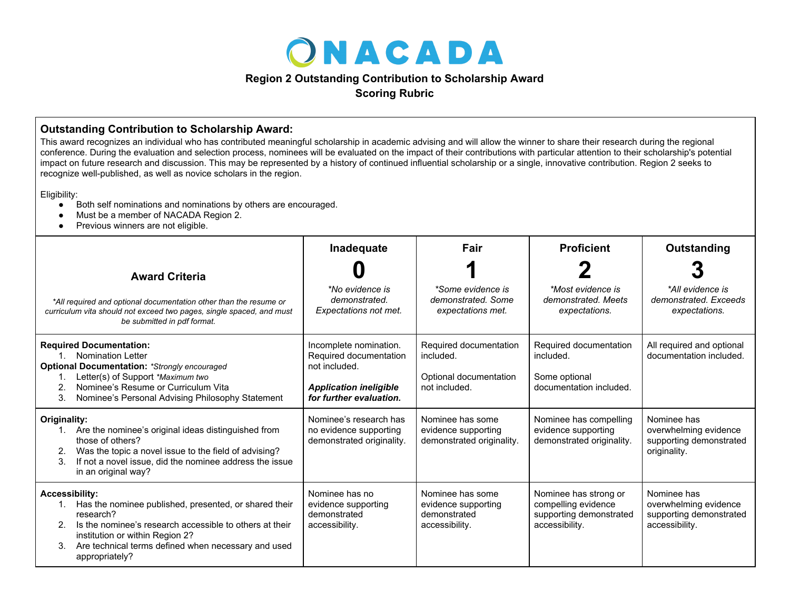

## **Region 2 Outstanding Contribution to Scholarship Award**

**Scoring Rubric**

## **Outstanding Contribution to Scholarship Award:**

This award recognizes an individual who has contributed meaningful scholarship in academic advising and will allow the winner to share their research during the regional conference. During the evaluation and selection process, nominees will be evaluated on the impact of their contributions with particular attention to their scholarship's potential impact on future research and discussion. This may be represented by a history of continued influential scholarship or a single, innovative contribution. Region 2 seeks to recognize well-published, as well as novice scholars in the region.

Eligibility:

- Both self nominations and nominations by others are encouraged.
- Must be a member of NACADA Region 2.
- Previous winners are not eligible.

|                                                                                                                                                                                                                                                                                | Inadequate                                                                                                                    | Fair                                                                           | <b>Proficient</b>                                                                         | Outstanding                                                                       |
|--------------------------------------------------------------------------------------------------------------------------------------------------------------------------------------------------------------------------------------------------------------------------------|-------------------------------------------------------------------------------------------------------------------------------|--------------------------------------------------------------------------------|-------------------------------------------------------------------------------------------|-----------------------------------------------------------------------------------|
| <b>Award Criteria</b>                                                                                                                                                                                                                                                          |                                                                                                                               |                                                                                |                                                                                           |                                                                                   |
| *All required and optional documentation other than the resume or<br>curriculum vita should not exceed two pages, single spaced, and must<br>be submitted in pdf format.                                                                                                       | *No evidence is<br>demonstrated.<br>Expectations not met.                                                                     | *Some evidence is<br>demonstrated. Some<br>expectations met.                   | *Most evidence is<br>demonstrated, Meets<br>expectations.                                 | *All evidence is<br>demonstrated. Exceeds<br>expectations.                        |
| <b>Required Documentation:</b><br>Nomination Letter<br>$1_{-}$<br><b>Optional Documentation: *Strongly encouraged</b><br>Letter(s) of Support *Maximum two<br>Nominee's Resume or Curriculum Vita<br>3.<br>Nominee's Personal Advising Philosophy Statement                    | Incomplete nomination.<br>Required documentation<br>not included.<br><b>Application ineligible</b><br>for further evaluation. | Required documentation<br>included.<br>Optional documentation<br>not included. | Required documentation<br>included.<br>Some optional<br>documentation included.           | All required and optional<br>documentation included.                              |
| Originality:<br>Are the nominee's original ideas distinguished from<br>those of others?<br>Was the topic a novel issue to the field of advising?<br>2.<br>If not a novel issue, did the nominee address the issue<br>3.<br>in an original way?                                 | Nominee's research has<br>no evidence supporting<br>demonstrated originality.                                                 | Nominee has some<br>evidence supporting<br>demonstrated originality.           | Nominee has compelling<br>evidence supporting<br>demonstrated originality.                | Nominee has<br>overwhelming evidence<br>supporting demonstrated<br>originality.   |
| <b>Accessibility:</b><br>Has the nominee published, presented, or shared their<br>1.<br>research?<br>Is the nominee's research accessible to others at their<br>institution or within Region 2?<br>Are technical terms defined when necessary and used<br>3.<br>appropriately? | Nominee has no<br>evidence supporting<br>demonstrated<br>accessibility.                                                       | Nominee has some<br>evidence supporting<br>demonstrated<br>accessibility.      | Nominee has strong or<br>compelling evidence<br>supporting demonstrated<br>accessibility. | Nominee has<br>overwhelming evidence<br>supporting demonstrated<br>accessibility. |